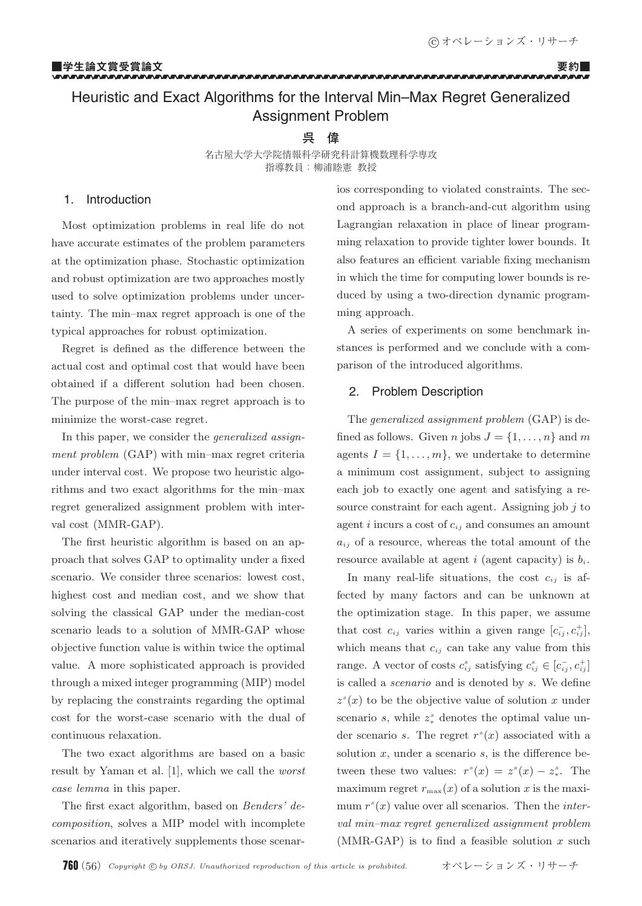-

#### --------------

#### ■学生論文賞受賞論文 要約■ -------------------------------------------------------

# Heuristic and Exact Algorithms for the Interval Min–Max Regret Generalized Assignment Problem

# **呉 偉**

名古屋大学大学院情報科学研究科計算機数理科学専攻 指導教員:柳浦睦憲 教授

# 1. Introduction

Most optimization problems in real life do not have accurate estimates of the problem parameters at the optimization phase. Stochastic optimization and robust optimization are two approaches mostly used to solve optimization problems under uncertainty. The min–max regret approach is one of the typical approaches for robust optimization.

Regret is defined as the difference between the actual cost and optimal cost that would have been obtained if a different solution had been chosen. The purpose of the min–max regret approach is to minimize the worst-case regret.

In this paper, we consider the *generalized assignment problem* (GAP) with min–max regret criteria under interval cost. We propose two heuristic algorithms and two exact algorithms for the min–max regret generalized assignment problem with interval cost (MMR-GAP).

The first heuristic algorithm is based on an approach that solves GAP to optimality under a fixed scenario. We consider three scenarios: lowest cost, highest cost and median cost, and we show that solving the classical GAP under the median-cost scenario leads to a solution of MMR-GAP whose objective function value is within twice the optimal value. A more sophisticated approach is provided through a mixed integer programming (MIP) model by replacing the constraints regarding the optimal cost for the worst-case scenario with the dual of continuous relaxation.

The two exact algorithms are based on a basic result by Yaman et al. [1], which we call the *worst case lemma* in this paper.

The first exact algorithm, based on *Benders' decomposition*, solves a MIP model with incomplete scenarios and iteratively supplements those scenarios corresponding to violated constraints. The second approach is a branch-and-cut algorithm using Lagrangian relaxation in place of linear programming relaxation to provide tighter lower bounds. It also features an efficient variable fixing mechanism in which the time for computing lower bounds is reduced by using a two-direction dynamic programming approach.

A series of experiments on some benchmark instances is performed and we conclude with a comparison of the introduced algorithms.

# 2. Problem Description

The *generalized assignment problem* (GAP) is defined as follows. Given *n* jobs  $J = \{1, \ldots, n\}$  and *m* agents  $I = \{1, \ldots, m\}$ , we undertake to determine a minimum cost assignment, subject to assigning each job to exactly one agent and satisfying a resource constraint for each agent. Assigning job  $i$  to agent  $i$  incurs a cost of  $c_{ij}$  and consumes an amount  $a_{ij}$  of a resource, whereas the total amount of the resource available at agent i (agent capacity) is  $b_i$ .

In many real-life situations, the cost  $c_{ij}$  is affected by many factors and can be unknown at the optimization stage. In this paper, we assume that cost  $c_{ij}$  varies within a given range  $[c_{ij}^-, c_{ij}^+]$ , which means that c*ij* can take any value from this range. A vector of costs  $c_{ij}^s$  satisfying  $c_{ij}^s \in [c_{ij}^-, c_{ij}^+]$ is called a *scenario* and is denoted by s. We define  $z<sup>s</sup>(x)$  to be the objective value of solution x under scenario  $s$ , while  $z^s$  denotes the optimal value under scenario s. The regret  $r^s(x)$  associated with a solution  $x$ , under a scenario  $s$ , is the difference between these two values:  $r^{s}(x) = z^{s}(x) - z^{s}$ . The maximum regret  $r_{\text{max}}(x)$  of a solution x is the maximum  $r^{s}(x)$  value over all scenarios. Then the *interval min–max regret generalized assignment problem* (MMR-GAP) is to find a feasible solution  $x$  such